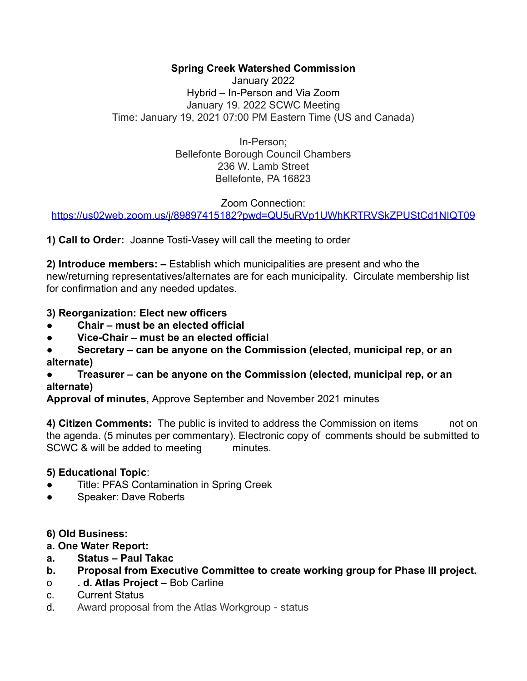## **Spring Creek Watershed Commission**

January 2022 Hybrid – In-Person and Via Zoom January 19. 2022 SCWC Meeting Time: January 19, 2021 07:00 PM Eastern Time (US and Canada)

> In-Person; Bellefonte Borough Council Chambers 236 W. Lamb Street Bellefonte, PA 16823

> > Zoom Connection:

<https://us02web.zoom.us/j/89897415182?pwd=QU5uRVp1UWhKRTRVSkZPUStCd1NIQT09>

**1) Call to Order:** Joanne Tosti-Vasey will call the meeting to order

**2) Introduce members: –** Establish which municipalities are present and who the new/returning representatives/alternates are for each municipality. Circulate membership list for confirmation and any needed updates.

#### **3) Reorganization: Elect new officers**

- **● Chair must be an elected official**
- **● Vice-Chair must be an elected official**
- **● Secretary can be anyone on the Commission (elected, municipal rep, or an alternate)**

#### **● Treasurer – can be anyone on the Commission (elected, municipal rep, or an alternate)**

**Approval of minutes,** Approve September and November 2021 minutes

**4) Citizen Comments:** The public is invited to address the Commission on items not on the agenda. (5 minutes per commentary). Electronic copy of comments should be submitted to SCWC & will be added to meeting minutes.

## **5) Educational Topic**:

- Title: PFAS Contamination in Spring Creek
- Speaker: Dave Roberts

#### **6) Old Business:**

#### **a. One Water Report:**

- **a. Status Paul Takac**
- **b. Proposal from Executive Committee to create working group for Phase III project.**
- o **. d. Atlas Project –** Bob Carline
- c. Current Status
- d. Award proposal from the Atlas Workgroup status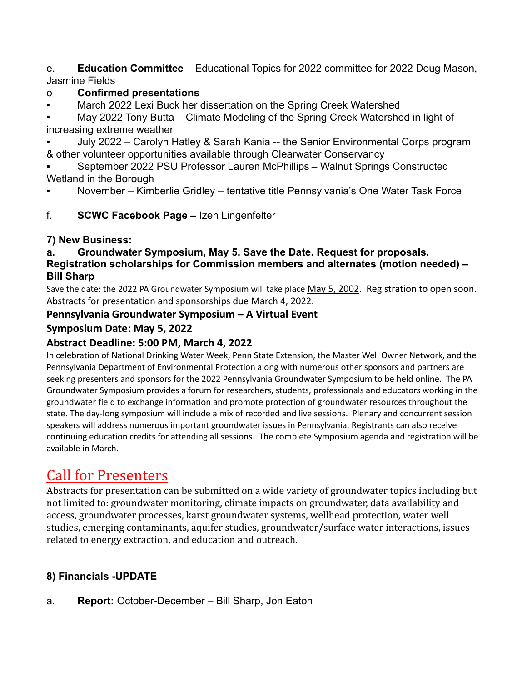e. **Education Committee** – Educational Topics for 2022 committee for 2022 Doug Mason, Jasmine Fields

## o **Confirmed presentations**

▪ March 2022 Lexi Buck her dissertation on the Spring Creek Watershed

May 2022 Tony Butta – Climate Modeling of the Spring Creek Watershed in light of increasing extreme weather

July 2022 – Carolyn Hatley & Sarah Kania -- the Senior Environmental Corps program & other volunteer opportunities available through Clearwater Conservancy

September 2022 PSU Professor Lauren McPhillips – Walnut Springs Constructed Wetland in the Borough

November – Kimberlie Gridley – tentative title Pennsylvania's One Water Task Force

## f. **SCWC Facebook Page –** Izen Lingenfelter

## **7) New Business:**

## **a. Groundwater Symposium, May 5. Save the Date. Request for proposals. Registration scholarships for Commission members and alternates (motion needed) – Bill Sharp**

Save the date: the 2022 PA Groundwater Symposium will take place May 5, 2002. Registration to open soon. Abstracts for presentation and sponsorships due March 4, 2022.

## **Pennsylvania Groundwater Symposium – A Virtual Event**

## **Symposium Date: May 5, 2022**

## **Abstract Deadline: 5:00 PM, March 4, 2022**

In celebration of National Drinking Water Week, Penn State Extension, the Master Well Owner Network, and the Pennsylvania Department of Environmental Protection along with numerous other sponsors and partners are seeking presenters and sponsors for the 2022 Pennsylvania Groundwater Symposium to be held online. The PA Groundwater Symposium provides a forum for researchers, students, professionals and educators working in the groundwater field to exchange information and promote protection of groundwater resources throughout the state. The day-long symposium will include a mix of recorded and live sessions. Plenary and concurrent session speakers will address numerous important groundwater issues in Pennsylvania. Registrants can also receive continuing education credits for attending all sessions. The complete Symposium agenda and registration will be available in March.

# Call for Presenters

Abstracts for presentation can be submitted on a wide variety of groundwater topics including but not limited to: groundwater monitoring, climate impacts on groundwater, data availability and access, groundwater processes, karst groundwater systems, wellhead protection, water well studies, emerging contaminants, aquifer studies, groundwater/surface water interactions, issues related to energy extraction, and education and outreach.

# **8) Financials -UPDATE**

a. **Report:** October-December – Bill Sharp, Jon Eaton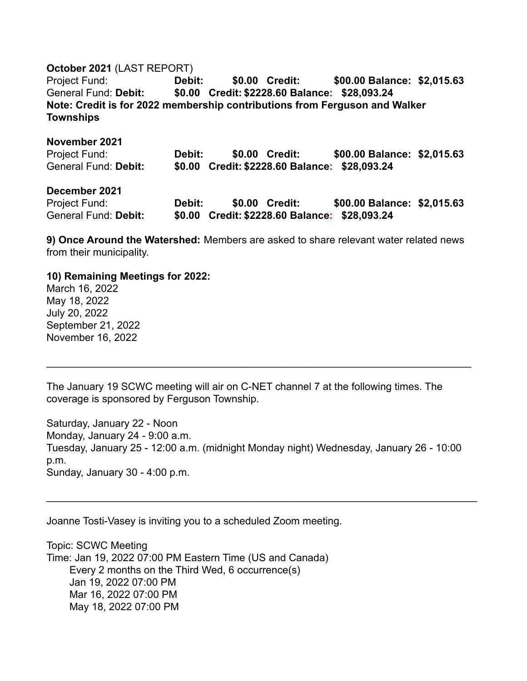#### **October 2021** (LAST REPORT)

Project Fund: **Debit: \$0.00 Credit: \$00.00 Balance: \$2,015.63** General Fund: **Debit: \$0.00 Credit: \$2228.60 Balance: \$28,093.24 Note: Credit is for 2022 membership contributions from Ferguson and Walker Townships**

#### **November 2021**

| Project Fund:        | <b>Debit:</b> | \$0.00 Credit: | \$00.00 Balance: \$2,015.63                   |  |
|----------------------|---------------|----------------|-----------------------------------------------|--|
| General Fund: Debit: |               |                | \$0.00 Credit: \$2228.60 Balance: \$28,093.24 |  |

#### **December 2021**

| Project Fund:        | Debit: | \$0.00 Credit:                                | \$00.00 Balance: \$2,015.63 |  |
|----------------------|--------|-----------------------------------------------|-----------------------------|--|
| General Fund: Debit: |        | \$0.00 Credit: \$2228.60 Balance: \$28,093.24 |                             |  |

**9) Once Around the Watershed:** Members are asked to share relevant water related news from their municipality.

#### **10) Remaining Meetings for 2022:**

March 16, 2022 May 18, 2022 July 20, 2022 September 21, 2022 November 16, 2022

The January 19 SCWC meeting will air on C-NET channel 7 at the following times. The coverage is sponsored by Ferguson Township.

 $\mathcal{L}_\mathcal{L} = \mathcal{L}_\mathcal{L} = \mathcal{L}_\mathcal{L} = \mathcal{L}_\mathcal{L} = \mathcal{L}_\mathcal{L} = \mathcal{L}_\mathcal{L} = \mathcal{L}_\mathcal{L} = \mathcal{L}_\mathcal{L} = \mathcal{L}_\mathcal{L} = \mathcal{L}_\mathcal{L} = \mathcal{L}_\mathcal{L} = \mathcal{L}_\mathcal{L} = \mathcal{L}_\mathcal{L} = \mathcal{L}_\mathcal{L} = \mathcal{L}_\mathcal{L} = \mathcal{L}_\mathcal{L} = \mathcal{L}_\mathcal{L}$ 

Saturday, January 22 - Noon Monday, January 24 - 9:00 a.m. Tuesday, January 25 - 12:00 a.m. (midnight Monday night) Wednesday, January 26 - 10:00 p.m. Sunday, January 30 - 4:00 p.m.

 $\mathcal{L}_\mathcal{L} = \mathcal{L}_\mathcal{L} = \mathcal{L}_\mathcal{L} = \mathcal{L}_\mathcal{L} = \mathcal{L}_\mathcal{L} = \mathcal{L}_\mathcal{L} = \mathcal{L}_\mathcal{L} = \mathcal{L}_\mathcal{L} = \mathcal{L}_\mathcal{L} = \mathcal{L}_\mathcal{L} = \mathcal{L}_\mathcal{L} = \mathcal{L}_\mathcal{L} = \mathcal{L}_\mathcal{L} = \mathcal{L}_\mathcal{L} = \mathcal{L}_\mathcal{L} = \mathcal{L}_\mathcal{L} = \mathcal{L}_\mathcal{L}$ 

Joanne Tosti-Vasey is inviting you to a scheduled Zoom meeting.

Topic: SCWC Meeting Time: Jan 19, 2022 07:00 PM Eastern Time (US and Canada) Every 2 months on the Third Wed, 6 occurrence(s) Jan 19, 2022 07:00 PM Mar 16, 2022 07:00 PM May 18, 2022 07:00 PM